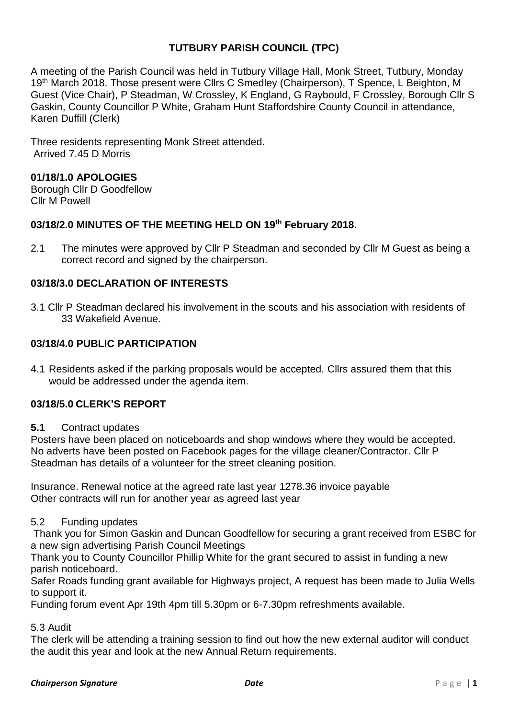## **TUTBURY PARISH COUNCIL (TPC)**

A meeting of the Parish Council was held in Tutbury Village Hall, Monk Street, Tutbury, Monday 19<sup>th</sup> March 2018. Those present were Cllrs C Smedley (Chairperson), T Spence, L Beighton, M Guest (Vice Chair), P Steadman, W Crossley, K England, G Raybould, F Crossley, Borough Cllr S Gaskin, County Councillor P White, Graham Hunt Staffordshire County Council in attendance, Karen Duffill (Clerk)

Three residents representing Monk Street attended. Arrived 7.45 D Morris

### **01/18/1.0 APOLOGIES**

Borough Cllr D Goodfellow Cllr M Powell

### **03/18/2.0 MINUTES OF THE MEETING HELD ON 19 th February 2018.**

2.1 The minutes were approved by Cllr P Steadman and seconded by Cllr M Guest as being a correct record and signed by the chairperson.

## **03/18/3.0 DECLARATION OF INTERESTS**

3.1 Cllr P Steadman declared his involvement in the scouts and his association with residents of 33 Wakefield Avenue.

## **03/18/4.0 PUBLIC PARTICIPATION**

4.1 Residents asked if the parking proposals would be accepted. Cllrs assured them that this would be addressed under the agenda item.

## **03/18/5.0 CLERK'S REPORT**

### **5.1** Contract updates

Posters have been placed on noticeboards and shop windows where they would be accepted. No adverts have been posted on Facebook pages for the village cleaner/Contractor. Cllr P Steadman has details of a volunteer for the street cleaning position.

Insurance. Renewal notice at the agreed rate last year 1278.36 invoice payable Other contracts will run for another year as agreed last year

### 5.2 Funding updates

Thank you for Simon Gaskin and Duncan Goodfellow for securing a grant received from ESBC for a new sign advertising Parish Council Meetings

Thank you to County Councillor Phillip White for the grant secured to assist in funding a new parish noticeboard.

Safer Roads funding grant available for Highways project, A request has been made to Julia Wells to support it.

Funding forum event Apr 19th 4pm till 5.30pm or 6-7.30pm refreshments available.

# 5.3 Audit

The clerk will be attending a training session to find out how the new external auditor will conduct the audit this year and look at the new Annual Return requirements.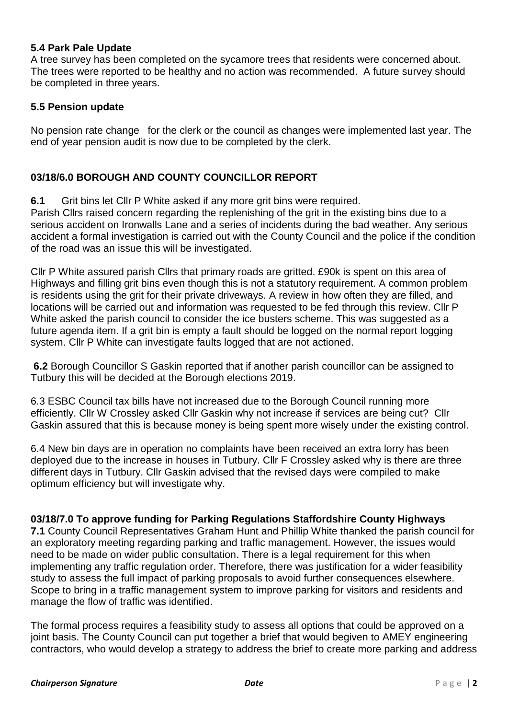## **5.4 Park Pale Update**

A tree survey has been completed on the sycamore trees that residents were concerned about. The trees were reported to be healthy and no action was recommended. A future survey should be completed in three years.

## **5.5 Pension update**

No pension rate change for the clerk or the council as changes were implemented last year. The end of year pension audit is now due to be completed by the clerk.

## **03/18/6.0 BOROUGH AND COUNTY COUNCILLOR REPORT**

**6.1** Grit bins let Cllr P White asked if any more grit bins were required.

Parish Cllrs raised concern regarding the replenishing of the grit in the existing bins due to a serious accident on Ironwalls Lane and a series of incidents during the bad weather. Any serious accident a formal investigation is carried out with the County Council and the police if the condition of the road was an issue this will be investigated.

Cllr P White assured parish Cllrs that primary roads are gritted. £90k is spent on this area of Highways and filling grit bins even though this is not a statutory requirement. A common problem is residents using the grit for their private driveways. A review in how often they are filled, and locations will be carried out and information was requested to be fed through this review. Cllr P White asked the parish council to consider the ice busters scheme. This was suggested as a future agenda item. If a grit bin is empty a fault should be logged on the normal report logging system. Cllr P White can investigate faults logged that are not actioned.

**6.2** Borough Councillor S Gaskin reported that if another parish councillor can be assigned to Tutbury this will be decided at the Borough elections 2019.

6.3 ESBC Council tax bills have not increased due to the Borough Council running more efficiently. Cllr W Crossley asked Cllr Gaskin why not increase if services are being cut? Cllr Gaskin assured that this is because money is being spent more wisely under the existing control.

6.4 New bin days are in operation no complaints have been received an extra lorry has been deployed due to the increase in houses in Tutbury. Cllr F Crossley asked why is there are three different days in Tutbury. Cllr Gaskin advised that the revised days were compiled to make optimum efficiency but will investigate why.

### **03/18/7.0 To approve funding for Parking Regulations Staffordshire County Highways**

**7.1** County Council Representatives Graham Hunt and Phillip White thanked the parish council for an exploratory meeting regarding parking and traffic management. However, the issues would need to be made on wider public consultation. There is a legal requirement for this when implementing any traffic regulation order. Therefore, there was justification for a wider feasibility study to assess the full impact of parking proposals to avoid further consequences elsewhere. Scope to bring in a traffic management system to improve parking for visitors and residents and manage the flow of traffic was identified.

The formal process requires a feasibility study to assess all options that could be approved on a joint basis. The County Council can put together a brief that would begiven to AMEY engineering contractors, who would develop a strategy to address the brief to create more parking and address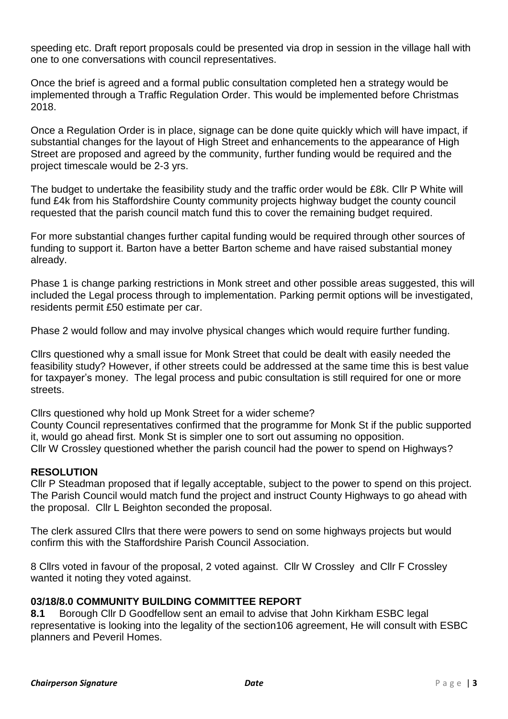speeding etc. Draft report proposals could be presented via drop in session in the village hall with one to one conversations with council representatives.

Once the brief is agreed and a formal public consultation completed hen a strategy would be implemented through a Traffic Regulation Order. This would be implemented before Christmas 2018.

Once a Regulation Order is in place, signage can be done quite quickly which will have impact, if substantial changes for the layout of High Street and enhancements to the appearance of High Street are proposed and agreed by the community, further funding would be required and the project timescale would be 2-3 yrs.

The budget to undertake the feasibility study and the traffic order would be £8k. Cllr P White will fund £4k from his Staffordshire County community projects highway budget the county council requested that the parish council match fund this to cover the remaining budget required.

For more substantial changes further capital funding would be required through other sources of funding to support it. Barton have a better Barton scheme and have raised substantial money already.

Phase 1 is change parking restrictions in Monk street and other possible areas suggested, this will included the Legal process through to implementation. Parking permit options will be investigated, residents permit £50 estimate per car.

Phase 2 would follow and may involve physical changes which would require further funding.

Cllrs questioned why a small issue for Monk Street that could be dealt with easily needed the feasibility study? However, if other streets could be addressed at the same time this is best value for taxpayer's money. The legal process and pubic consultation is still required for one or more streets.

Cllrs questioned why hold up Monk Street for a wider scheme?

County Council representatives confirmed that the programme for Monk St if the public supported it, would go ahead first. Monk St is simpler one to sort out assuming no opposition. Cllr W Crossley questioned whether the parish council had the power to spend on Highways?

### **RESOLUTION**

Cllr P Steadman proposed that if legally acceptable, subject to the power to spend on this project. The Parish Council would match fund the project and instruct County Highways to go ahead with the proposal. Cllr L Beighton seconded the proposal.

The clerk assured Cllrs that there were powers to send on some highways projects but would confirm this with the Staffordshire Parish Council Association.

8 Cllrs voted in favour of the proposal, 2 voted against. Cllr W Crossley and Cllr F Crossley wanted it noting they voted against.

### **03/18/8.0 COMMUNITY BUILDING COMMITTEE REPORT**

**8.1** Borough Cllr D Goodfellow sent an email to advise that John Kirkham ESBC legal representative is looking into the legality of the section106 agreement, He will consult with ESBC planners and Peveril Homes.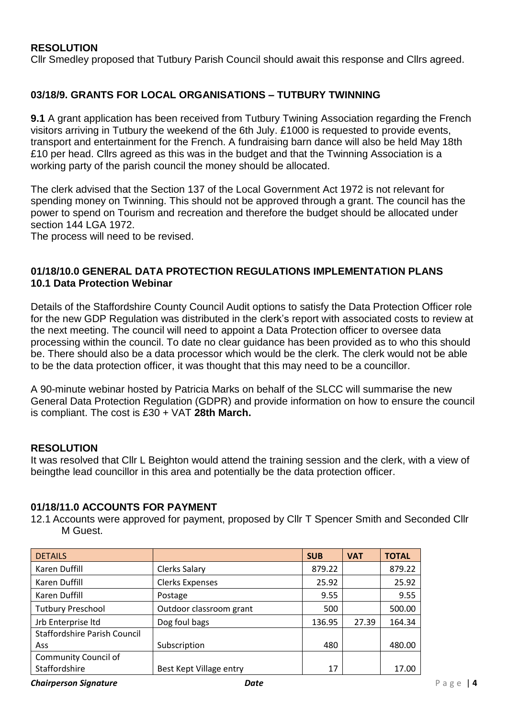## **RESOLUTION**

Cllr Smedley proposed that Tutbury Parish Council should await this response and Cllrs agreed.

### **03/18/9. GRANTS FOR LOCAL ORGANISATIONS – TUTBURY TWINNING**

**9.1** A grant application has been received from Tutbury Twining Association regarding the French visitors arriving in Tutbury the weekend of the 6th July. £1000 is requested to provide events, transport and entertainment for the French. A fundraising barn dance will also be held May 18th £10 per head. Cllrs agreed as this was in the budget and that the Twinning Association is a working party of the parish council the money should be allocated.

The clerk advised that the Section 137 of the Local Government Act 1972 is not relevant for spending money on Twinning. This should not be approved through a grant. The council has the power to spend on Tourism and recreation and therefore the budget should be allocated under section 144 LGA 1972.

The process will need to be revised.

#### **01/18/10.0 GENERAL DATA PROTECTION REGULATIONS IMPLEMENTATION PLANS 10.1 Data Protection Webinar**

Details of the Staffordshire County Council Audit options to satisfy the Data Protection Officer role for the new GDP Regulation was distributed in the clerk's report with associated costs to review at the next meeting. The council will need to appoint a Data Protection officer to oversee data processing within the council. To date no clear guidance has been provided as to who this should be. There should also be a data processor which would be the clerk. The clerk would not be able to be the data protection officer, it was thought that this may need to be a councillor.

A 90-minute webinar hosted by Patricia Marks on behalf of the SLCC will summarise the new General Data Protection Regulation (GDPR) and provide information on how to ensure the council is compliant. The cost is £30 + VAT **28th March.**

#### **RESOLUTION**

It was resolved that Cllr L Beighton would attend the training session and the clerk, with a view of beingthe lead councillor in this area and potentially be the data protection officer.

#### **01/18/11.0 ACCOUNTS FOR PAYMENT**

12.1 Accounts were approved for payment, proposed by Cllr T Spencer Smith and Seconded Cllr M Guest.

| <b>DETAILS</b>                      |                         | <b>SUB</b> | <b>VAT</b> | <b>TOTAL</b> |
|-------------------------------------|-------------------------|------------|------------|--------------|
| Karen Duffill                       | Clerks Salary           | 879.22     |            | 879.22       |
| Karen Duffill                       | <b>Clerks Expenses</b>  | 25.92      |            | 25.92        |
| Karen Duffill                       | Postage                 | 9.55       |            | 9.55         |
| <b>Tutbury Preschool</b>            | Outdoor classroom grant | 500        |            | 500.00       |
| Jrb Enterprise Itd                  | Dog foul bags           | 136.95     | 27.39      | 164.34       |
| <b>Staffordshire Parish Council</b> |                         |            |            |              |
| Ass                                 | Subscription            | 480        |            | 480.00       |
| <b>Community Council of</b>         |                         |            |            |              |
| Staffordshire                       | Best Kept Village entry | 17         |            | 17.00        |

#### *Chairperson Signature Date* P a g e | **4**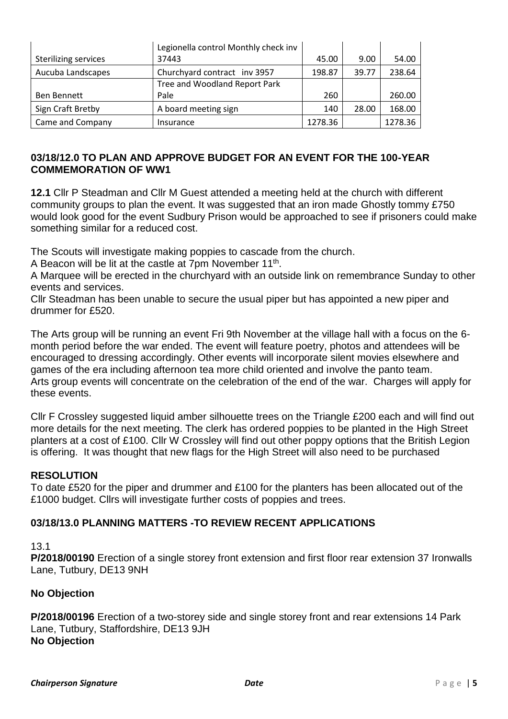|                             | Legionella control Monthly check inv |         |       |         |
|-----------------------------|--------------------------------------|---------|-------|---------|
| <b>Sterilizing services</b> | 37443                                | 45.00   | 9.00  | 54.00   |
| Aucuba Landscapes           | Churchyard contract inv 3957         | 198.87  | 39.77 | 238.64  |
|                             | Tree and Woodland Report Park        |         |       |         |
| Ben Bennett                 | Pale                                 | 260     |       | 260.00  |
| Sign Craft Bretby           | A board meeting sign                 | 140     | 28.00 | 168.00  |
| Came and Company            | Insurance                            | 1278.36 |       | 1278.36 |

## **03/18/12.0 TO PLAN AND APPROVE BUDGET FOR AN EVENT FOR THE 100-YEAR COMMEMORATION OF WW1**

**12.1** Cllr P Steadman and Cllr M Guest attended a meeting held at the church with different community groups to plan the event. It was suggested that an iron made Ghostly tommy £750 would look good for the event Sudbury Prison would be approached to see if prisoners could make something similar for a reduced cost.

The Scouts will investigate making poppies to cascade from the church.

A Beacon will be lit at the castle at 7pm November 11<sup>th</sup>.

A Marquee will be erected in the churchyard with an outside link on remembrance Sunday to other events and services.

Cllr Steadman has been unable to secure the usual piper but has appointed a new piper and drummer for £520.

The Arts group will be running an event Fri 9th November at the village hall with a focus on the 6 month period before the war ended. The event will feature poetry, photos and attendees will be encouraged to dressing accordingly. Other events will incorporate silent movies elsewhere and games of the era including afternoon tea more child oriented and involve the panto team. Arts group events will concentrate on the celebration of the end of the war. Charges will apply for these events.

Cllr F Crossley suggested liquid amber silhouette trees on the Triangle £200 each and will find out more details for the next meeting. The clerk has ordered poppies to be planted in the High Street planters at a cost of £100. Cllr W Crossley will find out other poppy options that the British Legion is offering. It was thought that new flags for the High Street will also need to be purchased

## **RESOLUTION**

To date £520 for the piper and drummer and £100 for the planters has been allocated out of the £1000 budget. Cllrs will investigate further costs of poppies and trees.

## **03/18/13.0 PLANNING MATTERS -TO REVIEW RECENT APPLICATIONS**

# 13.1

**P/2018/00190** Erection of a single storey front extension and first floor rear extension 37 Ironwalls Lane, Tutbury, DE13 9NH

## **No Objection**

**P/2018/00196** Erection of a two-storey side and single storey front and rear extensions 14 Park Lane, Tutbury, Staffordshire, DE13 9JH **No Objection**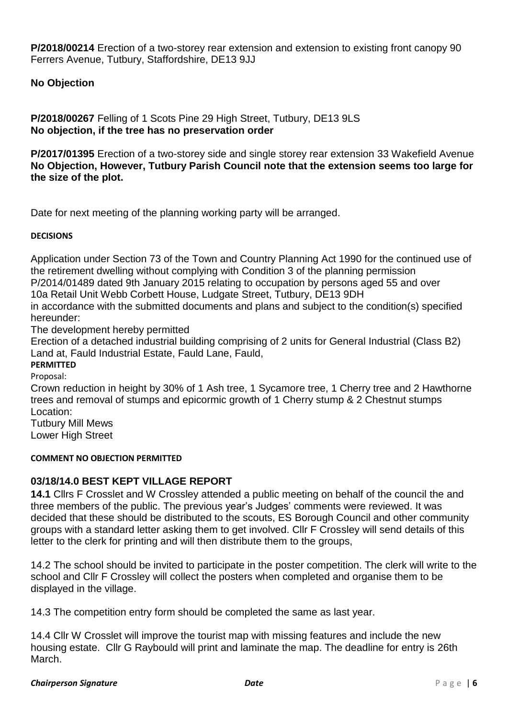**P/2018/00214** Erection of a two-storey rear extension and extension to existing front canopy 90 Ferrers Avenue, Tutbury, Staffordshire, DE13 9JJ

**No Objection**

**P/2018/00267** Felling of 1 Scots Pine 29 High Street, Tutbury, DE13 9LS **No objection, if the tree has no preservation order**

**P/2017/01395** Erection of a two-storey side and single storey rear extension 33 Wakefield Avenue **No Objection, However, Tutbury Parish Council note that the extension seems too large for the size of the plot.**

Date for next meeting of the planning working party will be arranged.

### **DECISIONS**

Application under Section 73 of the Town and Country Planning Act 1990 for the continued use of the retirement dwelling without complying with Condition 3 of the planning permission P/2014/01489 dated 9th January 2015 relating to occupation by persons aged 55 and over 10a Retail Unit Webb Corbett House, Ludgate Street, Tutbury, DE13 9DH in accordance with the submitted documents and plans and subject to the condition(s) specified hereunder:

The development hereby permitted

Erection of a detached industrial building comprising of 2 units for General Industrial (Class B2) Land at, Fauld Industrial Estate, Fauld Lane, Fauld,

**PERMITTED**

Proposal:

Crown reduction in height by 30% of 1 Ash tree, 1 Sycamore tree, 1 Cherry tree and 2 Hawthorne trees and removal of stumps and epicormic growth of 1 Cherry stump & 2 Chestnut stumps Location:

Tutbury Mill Mews Lower High Street

#### **COMMENT NO OBJECTION PERMITTED**

## **03/18/14.0 BEST KEPT VILLAGE REPORT**

**14.1** Cllrs F Crosslet and W Crossley attended a public meeting on behalf of the council the and three members of the public. The previous year's Judges' comments were reviewed. It was decided that these should be distributed to the scouts, ES Borough Council and other community groups with a standard letter asking them to get involved. Cllr F Crossley will send details of this letter to the clerk for printing and will then distribute them to the groups,

14.2 The school should be invited to participate in the poster competition. The clerk will write to the school and Cllr F Crossley will collect the posters when completed and organise them to be displayed in the village.

14.3 The competition entry form should be completed the same as last year.

14.4 Cllr W Crosslet will improve the tourist map with missing features and include the new housing estate. Cllr G Raybould will print and laminate the map. The deadline for entry is 26th March.